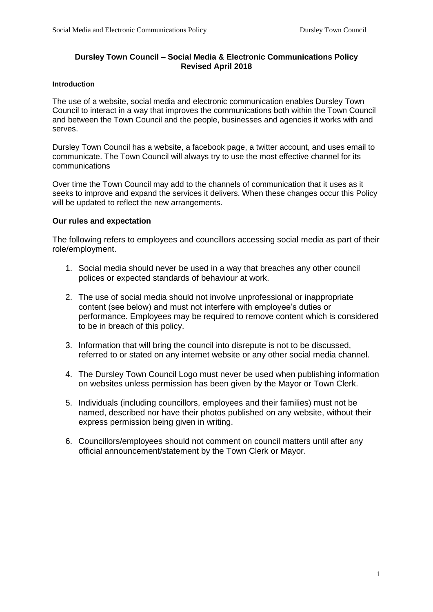# **Dursley Town Council – Social Media & Electronic Communications Policy Revised April 2018**

#### **Introduction**

The use of a website, social media and electronic communication enables Dursley Town Council to interact in a way that improves the communications both within the Town Council and between the Town Council and the people, businesses and agencies it works with and serves.

Dursley Town Council has a website, a facebook page, a twitter account, and uses email to communicate. The Town Council will always try to use the most effective channel for its communications

Over time the Town Council may add to the channels of communication that it uses as it seeks to improve and expand the services it delivers. When these changes occur this Policy will be updated to reflect the new arrangements.

#### **Our rules and expectation**

The following refers to employees and councillors accessing social media as part of their role/employment.

- 1. Social media should never be used in a way that breaches any other council polices or expected standards of behaviour at work.
- 2. The use of social media should not involve unprofessional or inappropriate content (see below) and must not interfere with employee's duties or performance. Employees may be required to remove content which is considered to be in breach of this policy.
- 3. Information that will bring the council into disrepute is not to be discussed, referred to or stated on any internet website or any other social media channel.
- 4. The Dursley Town Council Logo must never be used when publishing information on websites unless permission has been given by the Mayor or Town Clerk.
- 5. Individuals (including councillors, employees and their families) must not be named, described nor have their photos published on any website, without their express permission being given in writing.
- 6. Councillors/employees should not comment on council matters until after any official announcement/statement by the Town Clerk or Mayor.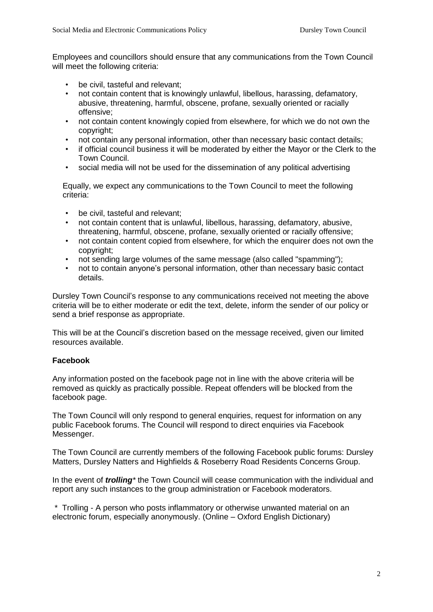Employees and councillors should ensure that any communications from the Town Council will meet the following criteria:

- be civil, tasteful and relevant:
- not contain content that is knowingly unlawful, libellous, harassing, defamatory, abusive, threatening, harmful, obscene, profane, sexually oriented or racially offensive;
- not contain content knowingly copied from elsewhere, for which we do not own the copyright;
- not contain any personal information, other than necessary basic contact details;
- if official council business it will be moderated by either the Mayor or the Clerk to the Town Council.
- social media will not be used for the dissemination of any political advertising

Equally, we expect any communications to the Town Council to meet the following criteria:

- be civil, tasteful and relevant:
- not contain content that is unlawful, libellous, harassing, defamatory, abusive, threatening, harmful, obscene, profane, sexually oriented or racially offensive;
- not contain content copied from elsewhere, for which the enquirer does not own the copyright;
- not sending large volumes of the same message (also called "spamming");
- not to contain anyone's personal information, other than necessary basic contact details.

Dursley Town Council's response to any communications received not meeting the above criteria will be to either moderate or edit the text, delete, inform the sender of our policy or send a brief response as appropriate.

This will be at the Council's discretion based on the message received, given our limited resources available.

# **Facebook**

Any information posted on the facebook page not in line with the above criteria will be removed as quickly as practically possible. Repeat offenders will be blocked from the facebook page.

The Town Council will only respond to general enquiries, request for information on any public Facebook forums. The Council will respond to direct enquiries via Facebook Messenger.

The Town Council are currently members of the following Facebook public forums: Dursley Matters, Dursley Natters and Highfields & Roseberry Road Residents Concerns Group.

In the event of *trolling\** the Town Council will cease communication with the individual and report any such instances to the group administration or Facebook moderators.

\* Trolling - A person who posts inflammatory or otherwise unwanted material on an electronic forum, especially anonymously. (Online – Oxford English Dictionary)